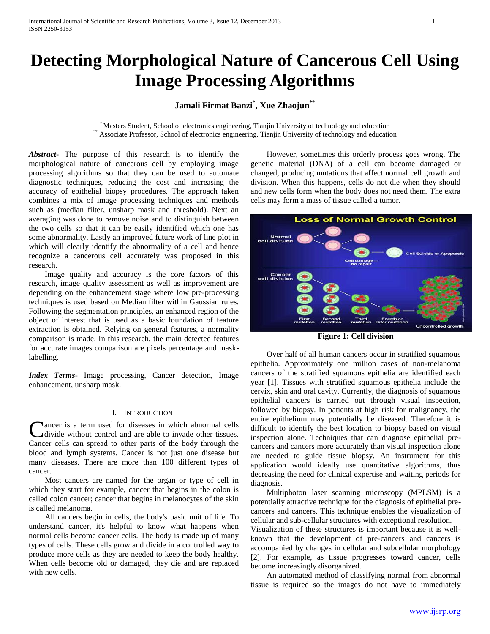# **Detecting Morphological Nature of Cancerous Cell Using Image Processing Algorithms**

## **Jamali Firmat Banzi\* , Xue Zhaojun\*\***

\* Masters Student, School of electronics engineering, Tianjin University of technology and education \*\* Associate Professor, School of electronics engineering, Tianjin University of technology and education

*Abstract***-** The purpose of this research is to identify the morphological nature of cancerous cell by employing image processing algorithms so that they can be used to automate diagnostic techniques, reducing the cost and increasing the accuracy of epithelial biopsy procedures. The approach taken combines a mix of image processing techniques and methods such as (median filter, unsharp mask and threshold). Next an averaging was done to remove noise and to distinguish between the two cells so that it can be easily identified which one has some abnormality. Lastly an improved future work of line plot in which will clearly identify the abnormality of a cell and hence recognize a cancerous cell accurately was proposed in this research.

 Image quality and accuracy is the core factors of this research, image quality assessment as well as improvement are depending on the enhancement stage where low pre-processing techniques is used based on Median filter within Gaussian rules. Following the segmentation principles, an enhanced region of the object of interest that is used as a basic foundation of feature extraction is obtained. Relying on general features, a normality comparison is made. In this research, the main detected features for accurate images comparison are pixels percentage and masklabelling*.*

*Index Terms*- Image processing, Cancer detection, Image enhancement, unsharp mask.

#### I. INTRODUCTION

ancer is a term used for diseases in which abnormal cells Cancer is a term used for diseases in which abnormal cells<br>divide without control and are able to invade other tissues. Cancer cells can spread to other parts of the body through the blood and lymph systems. Cancer is not just one disease but many diseases. There are more than 100 different types of cancer.

 Most cancers are named for the organ or type of cell in which they start for example, cancer that begins in the colon is called colon cancer; cancer that begins in melanocytes of the skin is called melanoma.

 All cancers begin in cells, the body's basic unit of life. To understand cancer, it's helpful to know what happens when normal cells become cancer cells. The body is made up of many types of cells. These cells grow and divide in a controlled way to produce more cells as they are needed to keep the body healthy. When cells become old or damaged, they die and are replaced with new cells.

 However, sometimes this orderly process goes wrong. The genetic material (DNA) of a cell can become damaged or changed, producing mutations that affect normal cell growth and division. When this happens, cells do not die when they should and new cells form when the body does not need them. The extra cells may form a mass of tissue called a tumor.



**Figure 1: Cell division**

 Over half of all human cancers occur in stratified squamous epithelia. Approximately one million cases of non-melanoma cancers of the stratified squamous epithelia are identified each year [1]. Tissues with stratified squamous epithelia include the cervix, skin and oral cavity. Currently, the diagnosis of squamous epithelial cancers is carried out through visual inspection, followed by biopsy. In patients at high risk for malignancy, the entire epithelium may potentially be diseased. Therefore it is difficult to identify the best location to biopsy based on visual inspection alone. Techniques that can diagnose epithelial precancers and cancers more accurately than visual inspection alone are needed to guide tissue biopsy. An instrument for this application would ideally use quantitative algorithms, thus decreasing the need for clinical expertise and waiting periods for diagnosis.

 Multiphoton laser scanning microscopy (MPLSM) is a potentially attractive technique for the diagnosis of epithelial precancers and cancers. This technique enables the visualization of cellular and sub-cellular structures with exceptional resolution.

Visualization of these structures is important because it is wellknown that the development of pre-cancers and cancers is accompanied by changes in cellular and subcellular morphology [2]. For example, as tissue progresses toward cancer, cells become increasingly disorganized.

 An automated method of classifying normal from abnormal tissue is required so the images do not have to immediately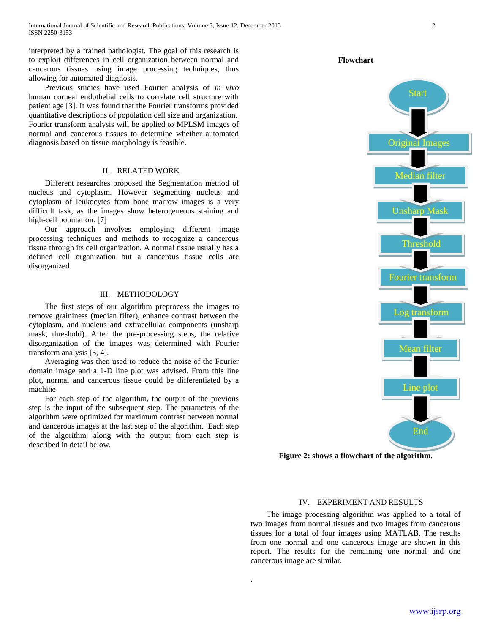interpreted by a trained pathologist. The goal of this research is to exploit differences in cell organization between normal and cancerous tissues using image processing techniques, thus allowing for automated diagnosis.

 Previous studies have used Fourier analysis of *in vivo*  human corneal endothelial cells to correlate cell structure with patient age [3]. It was found that the Fourier transforms provided quantitative descriptions of population cell size and organization. Fourier transform analysis will be applied to MPLSM images of normal and cancerous tissues to determine whether automated diagnosis based on tissue morphology is feasible.

#### II. RELATED WORK

 Different researches proposed the Segmentation method of nucleus and cytoplasm. However segmenting nucleus and cytoplasm of leukocytes from bone marrow images is a very difficult task, as the images show heterogeneous staining and high-cell population. [7]

 Our approach involves employing different image processing techniques and methods to recognize a cancerous tissue through its cell organization. A normal tissue usually has a defined cell organization but a cancerous tissue cells are disorganized

#### III. METHODOLOGY

 The first steps of our algorithm preprocess the images to remove graininess (median filter), enhance contrast between the cytoplasm, and nucleus and extracellular components (unsharp mask, threshold). After the pre-processing steps, the relative disorganization of the images was determined with Fourier transform analysis [3, 4].

 Averaging was then used to reduce the noise of the Fourier domain image and a 1-D line plot was advised. From this line plot, normal and cancerous tissue could be differentiated by a machine

 For each step of the algorithm, the output of the previous step is the input of the subsequent step. The parameters of the algorithm were optimized for maximum contrast between normal and cancerous images at the last step of the algorithm. Each step of the algorithm, along with the output from each step is described in detail below.

Original Images Median filter Unsharp Mask Fourier transform Threshold Log transform Mean filter Start Line plot

End

**Figure 2: shows a flowchart of the algorithm.**

#### IV. EXPERIMENT AND RESULTS

 The image processing algorithm was applied to a total of two images from normal tissues and two images from cancerous tissues for a total of four images using MATLAB. The results from one normal and one cancerous image are shown in this report. The results for the remaining one normal and one cancerous image are similar.

.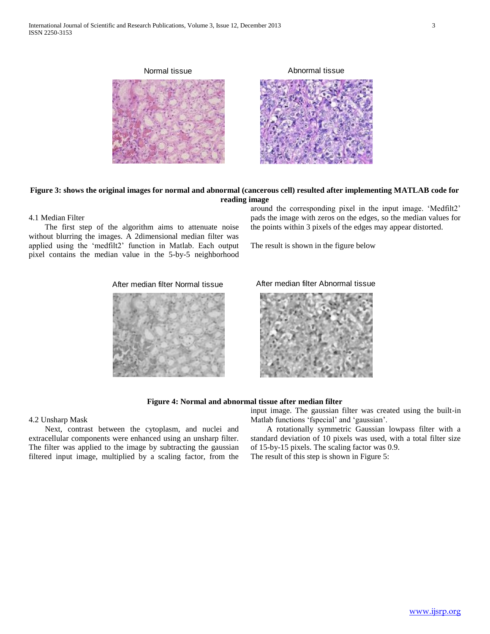

**Figure 3: shows the original images for normal and abnormal (cancerous cell) resulted after implementing MATLAB code for reading image**

#### 4.1 Median Filter

 The first step of the algorithm aims to attenuate noise without blurring the images. A 2dimensional median filter was applied using the 'medfilt2' function in Matlab. Each output pixel contains the median value in the 5-by-5 neighborhood

around the corresponding pixel in the input image. 'Medfilt2' pads the image with zeros on the edges, so the median values for the points within 3 pixels of the edges may appear distorted.

The result is shown in the figure below



After median filter Normal tissue **After median filter Abnormal tissue** 



#### **Figure 4: Normal and abnormal tissue after median filter**

#### 4.2 Unsharp Mask

 Next, contrast between the cytoplasm, and nuclei and extracellular components were enhanced using an unsharp filter. The filter was applied to the image by subtracting the gaussian filtered input image, multiplied by a scaling factor, from the input image. The gaussian filter was created using the built-in Matlab functions 'fspecial' and 'gaussian'.

 A rotationally symmetric Gaussian lowpass filter with a standard deviation of 10 pixels was used, with a total filter size of 15-by-15 pixels. The scaling factor was 0.9. The result of this step is shown in Figure 5: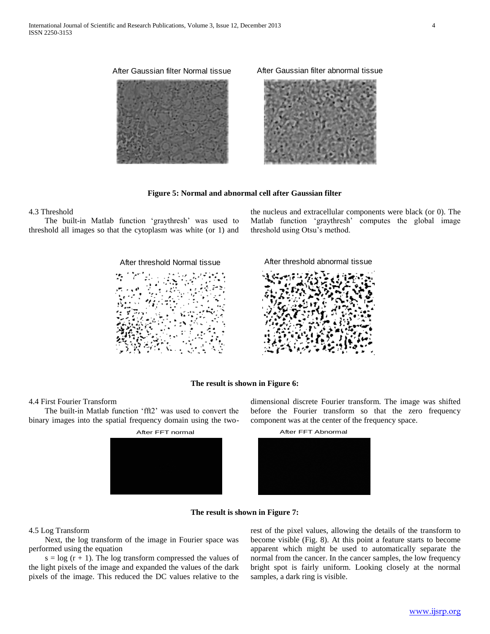

After Gaussian filter Normal tissue After Gaussian filter abnormal tissue



#### **Figure 5: Normal and abnormal cell after Gaussian filter**

#### 4.3 Threshold

 The built-in Matlab function 'graythresh' was used to threshold all images so that the cytoplasm was white (or 1) and

After threshold Normal tissue **After threshold abnormal tissue** 

the nucleus and extracellular components were black (or 0). The Matlab function 'graythresh' computes the global image threshold using Otsu's method.



#### **The result is shown in Figure 6:**

#### 4.4 First Fourier Transform

 The built-in Matlab function 'fft2' was used to convert the binary images into the spatial frequency domain using the two-



dimensional discrete Fourier transform. The image was shifted before the Fourier transform so that the zero frequency component was at the center of the frequency space.



#### **The result is shown in Figure 7:**

### 4.5 Log Transform

 Next, the log transform of the image in Fourier space was performed using the equation

 $s = log (r + 1)$ . The log transform compressed the values of the light pixels of the image and expanded the values of the dark pixels of the image. This reduced the DC values relative to the

rest of the pixel values, allowing the details of the transform to become visible (Fig. 8). At this point a feature starts to become apparent which might be used to automatically separate the normal from the cancer. In the cancer samples, the low frequency bright spot is fairly uniform. Looking closely at the normal samples, a dark ring is visible.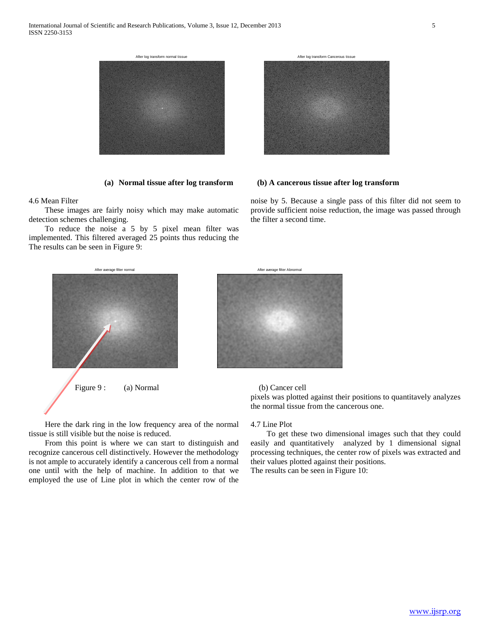

4.6 Mean Filter

 These images are fairly noisy which may make automatic detection schemes challenging.

 To reduce the noise a 5 by 5 pixel mean filter was implemented. This filtered averaged 25 points thus reducing the The results can be seen in Figure 9:



#### **(a) Normal tissue after log transform (b) A cancerous tissue after log transform**

noise by 5. Because a single pass of this filter did not seem to provide sufficient noise reduction, the image was passed through the filter a second time.



 Here the dark ring in the low frequency area of the normal tissue is still visible but the noise is reduced.

 From this point is where we can start to distinguish and recognize cancerous cell distinctively. However the methodology is not ample to accurately identify a cancerous cell from a normal one until with the help of machine. In addition to that we employed the use of Line plot in which the center row of the

#### 4.7 Line Plot

 To get these two dimensional images such that they could easily and quantitatively analyzed by 1 dimensional signal processing techniques, the center row of pixels was extracted and their values plotted against their positions. The results can be seen in Figure 10: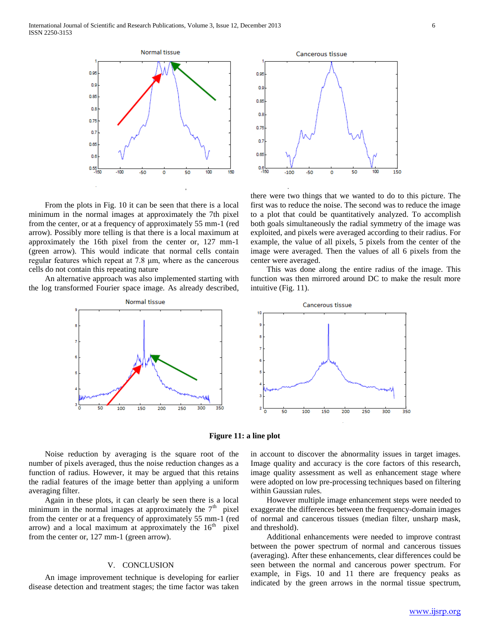

 From the plots in Fig. 10 it can be seen that there is a local minimum in the normal images at approximately the 7th pixel from the center, or at a frequency of approximately 55 mm-1 (red arrow). Possibly more telling is that there is a local maximum at approximately the 16th pixel from the center or, 127 mm-1 (green arrow). This would indicate that normal cells contain regular features which repeat at 7.8 μm, where as the cancerous cells do not contain this repeating nature

 An alternative approach was also implemented starting with the log transformed Fourier space image. As already described,





there were two things that we wanted to do to this picture. The first was to reduce the noise. The second was to reduce the image to a plot that could be quantitatively analyzed. To accomplish both goals simultaneously the radial symmetry of the image was exploited, and pixels were averaged according to their radius. For example, the value of all pixels, 5 pixels from the center of the image were averaged. Then the values of all 6 pixels from the center were averaged.

 This was done along the entire radius of the image. This function was then mirrored around DC to make the result more intuitive (Fig. 11).



**Figure 11: a line plot**

 Noise reduction by averaging is the square root of the number of pixels averaged, thus the noise reduction changes as a function of radius. However, it may be argued that this retains the radial features of the image better than applying a uniform averaging filter.

 Again in these plots, it can clearly be seen there is a local minimum in the normal images at approximately the  $7<sup>th</sup>$  pixel from the center or at a frequency of approximately 55 mm-1 (red arrow) and a local maximum at approximately the  $16<sup>th</sup>$  pixel from the center or, 127 mm-1 (green arrow).

### V. CONCLUSION

 An image improvement technique is developing for earlier disease detection and treatment stages; the time factor was taken in account to discover the abnormality issues in target images. Image quality and accuracy is the core factors of this research, image quality assessment as well as enhancement stage where were adopted on low pre-processing techniques based on filtering within Gaussian rules.

 However multiple image enhancement steps were needed to exaggerate the differences between the frequency-domain images of normal and cancerous tissues (median filter, unsharp mask, and threshold).

 Additional enhancements were needed to improve contrast between the power spectrum of normal and cancerous tissues (averaging). After these enhancements, clear differences could be seen between the normal and cancerous power spectrum. For example, in Figs. 10 and 11 there are frequency peaks as indicated by the green arrows in the normal tissue spectrum,